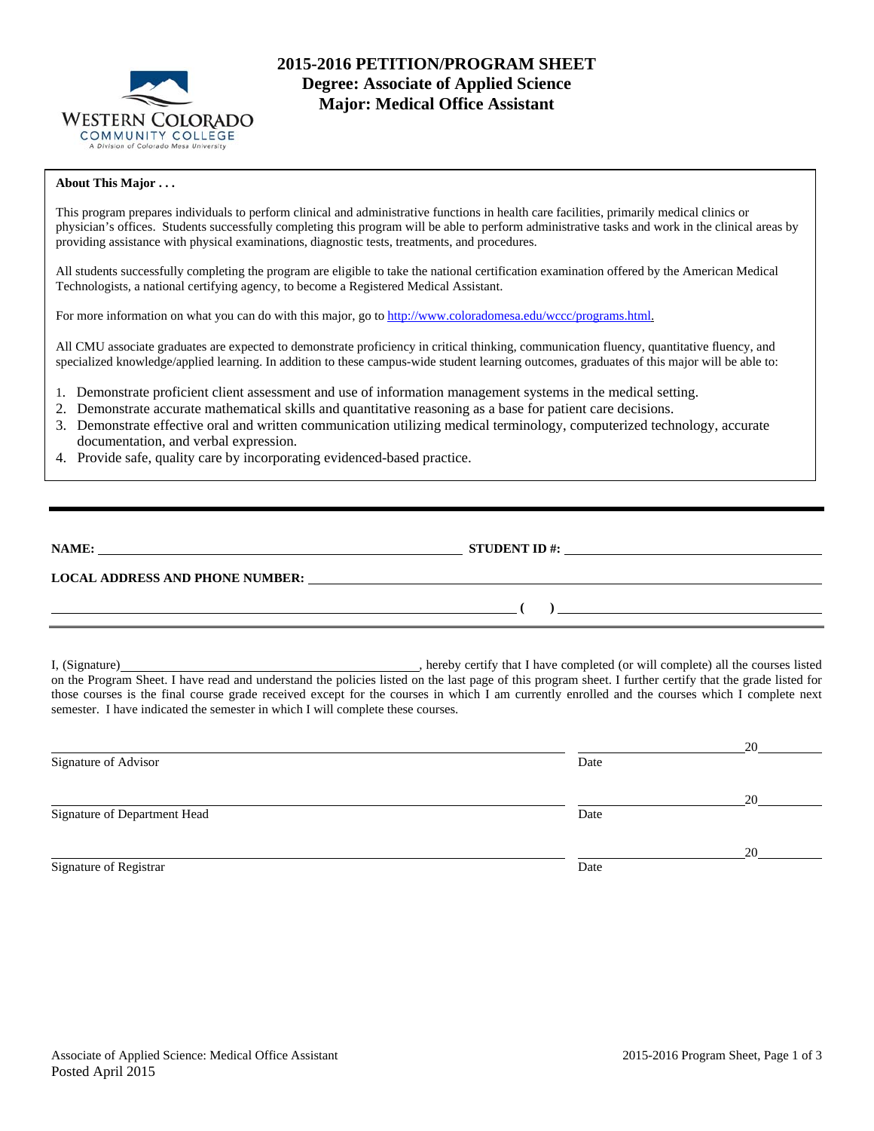

# **2015-2016 PETITION/PROGRAM SHEET Degree: Associate of Applied Science Major: Medical Office Assistant**

### **About This Major . . .**

This program prepares individuals to perform clinical and administrative functions in health care facilities, primarily medical clinics or physician's offices. Students successfully completing this program will be able to perform administrative tasks and work in the clinical areas by providing assistance with physical examinations, diagnostic tests, treatments, and procedures.

All students successfully completing the program are eligible to take the national certification examination offered by the American Medical Technologists, a national certifying agency, to become a Registered Medical Assistant.

For more information on what you can do with this major, go to http://www.coloradomesa.edu/wccc/programs.html.

All CMU associate graduates are expected to demonstrate proficiency in critical thinking, communication fluency, quantitative fluency, and specialized knowledge/applied learning. In addition to these campus-wide student learning outcomes, graduates of this major will be able to:

- 1. Demonstrate proficient client assessment and use of information management systems in the medical setting.
- 2. Demonstrate accurate mathematical skills and quantitative reasoning as a base for patient care decisions.
- 3. Demonstrate effective oral and written communication utilizing medical terminology, computerized technology, accurate documentation, and verbal expression.
- 4. Provide safe, quality care by incorporating evidenced-based practice.

| NAME:                                  | <b>STUDENT ID #:</b> |
|----------------------------------------|----------------------|
| <b>LOCAL ADDRESS AND PHONE NUMBER:</b> |                      |
|                                        |                      |

I, (Signature) , hereby certify that I have completed (or will complete) all the courses listed on the Program Sheet. I have read and understand the policies listed on the last page of this program sheet. I further certify that the grade listed for those courses is the final course grade received except for the courses in which I am currently enrolled and the courses which I complete next semester. I have indicated the semester in which I will complete these courses.

|                              |      | 20 |
|------------------------------|------|----|
| Signature of Advisor         | Date |    |
|                              |      | 20 |
| Signature of Department Head | Date |    |
|                              |      | 20 |
| Signature of Registrar       | Date |    |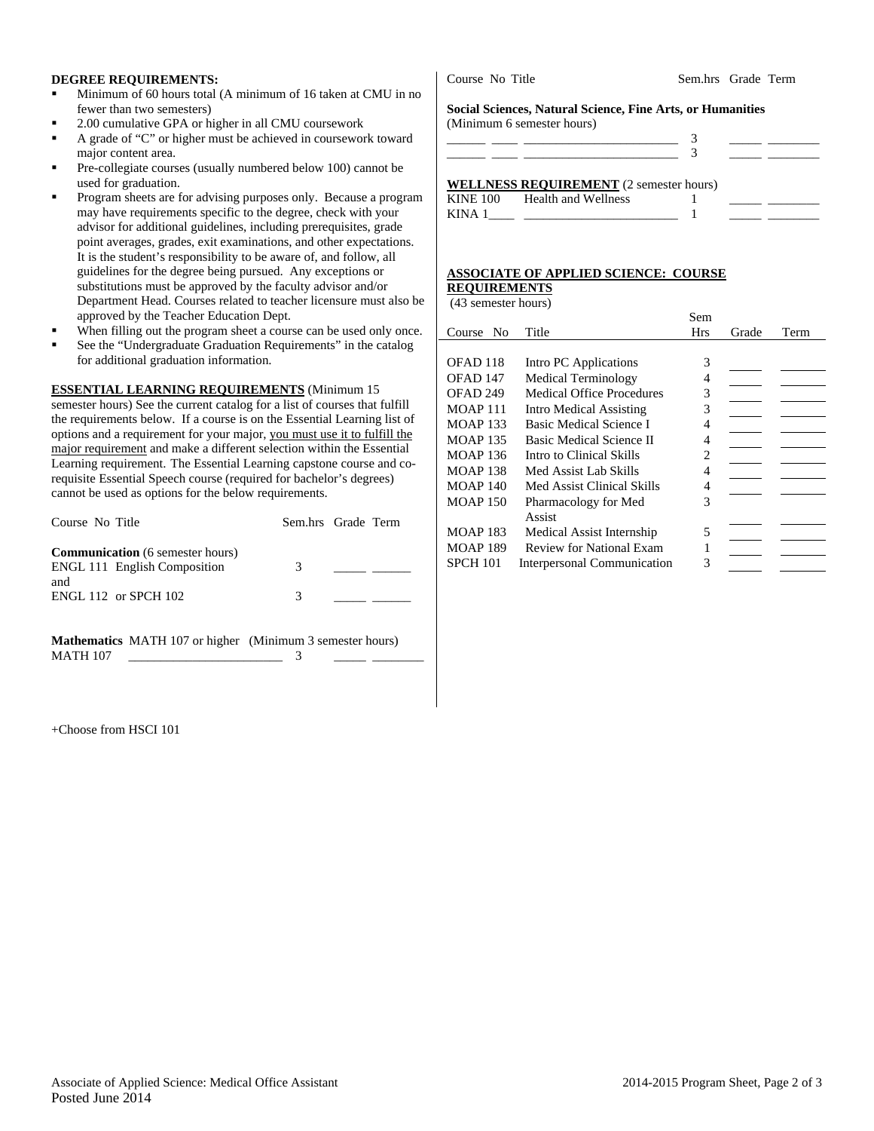### **DEGREE REQUIREMENTS:**

- Minimum of 60 hours total (A minimum of 16 taken at CMU in no fewer than two semesters)
- 2.00 cumulative GPA or higher in all CMU coursework
- A grade of "C" or higher must be achieved in coursework toward major content area.
- Pre-collegiate courses (usually numbered below 100) cannot be used for graduation.
- Program sheets are for advising purposes only. Because a program may have requirements specific to the degree, check with your advisor for additional guidelines, including prerequisites, grade point averages, grades, exit examinations, and other expectations. It is the student's responsibility to be aware of, and follow, all guidelines for the degree being pursued. Any exceptions or substitutions must be approved by the faculty advisor and/or Department Head. Courses related to teacher licensure must also be approved by the Teacher Education Dept.
- When filling out the program sheet a course can be used only once.
- See the "Undergraduate Graduation Requirements" in the catalog for additional graduation information.

**ESSENTIAL LEARNING REQUIREMENTS** (Minimum 15 semester hours) See the current catalog for a list of courses that fulfill the requirements below. If a course is on the Essential Learning list of options and a requirement for your major, you must use it to fulfill the major requirement and make a different selection within the Essential Learning requirement. The Essential Learning capstone course and corequisite Essential Speech course (required for bachelor's degrees) cannot be used as options for the below requirements.

| Course No Title                                                                | Sem.hrs Grade Term |  |
|--------------------------------------------------------------------------------|--------------------|--|
| <b>Communication</b> (6 semester hours)<br><b>ENGL 111 English Composition</b> | 3                  |  |
| and<br><b>ENGL 112 or SPCH 102</b>                                             | 3                  |  |

**Mathematics** MATH 107 or higher (Minimum 3 semester hours) MATH 107 \_\_\_\_\_\_\_\_\_\_\_\_\_\_\_\_\_\_\_\_\_\_\_\_ 3 \_\_\_\_\_ \_\_\_\_\_\_\_\_

+Choose from HSCI 101

Course No Title Sem.hrs Grade Term

**Social Sciences, Natural Science, Fine Arts, or Humanities**  (Minimum 6 semester hours)

|        | <b>WELLNESS REQUIREMENT</b> (2 semester hours) |  |  |
|--------|------------------------------------------------|--|--|
|        | KINE 100 Health and Wellness                   |  |  |
| KINA 1 |                                                |  |  |

# **ASSOCIATE OF APPLIED SCIENCE: COURSE**

### **REQUIREMENTS**  (43 semester hours)

|                          |                                    | Sem        |       |      |
|--------------------------|------------------------------------|------------|-------|------|
| N <sub>0</sub><br>Course | Title                              | <b>Hrs</b> | Grade | Term |
|                          |                                    |            |       |      |
| OFAD 118                 | Intro PC Applications              | 3          |       |      |
| OFAD 147                 | <b>Medical Terminology</b>         | 4          |       |      |
| OFAD <sub>249</sub>      | <b>Medical Office Procedures</b>   | 3          |       |      |
| <b>MOAP 111</b>          | Intro Medical Assisting            | 3          |       |      |
| <b>MOAP 133</b>          | <b>Basic Medical Science I</b>     | 4          |       |      |
| <b>MOAP 135</b>          | Basic Medical Science II           | 4          |       |      |
| <b>MOAP 136</b>          | Intro to Clinical Skills           | 2          |       |      |
| <b>MOAP 138</b>          | Med Assist Lab Skills              | 4          |       |      |
| <b>MOAP 140</b>          | Med Assist Clinical Skills         | 4          |       |      |
| <b>MOAP 150</b>          | Pharmacology for Med               | 3          |       |      |
|                          | Assist                             |            |       |      |
| <b>MOAP 183</b>          | Medical Assist Internship          | 5          |       |      |
| <b>MOAP 189</b>          | <b>Review for National Exam</b>    |            |       |      |
| SPCH 101                 | <b>Interpersonal Communication</b> | 3          |       |      |